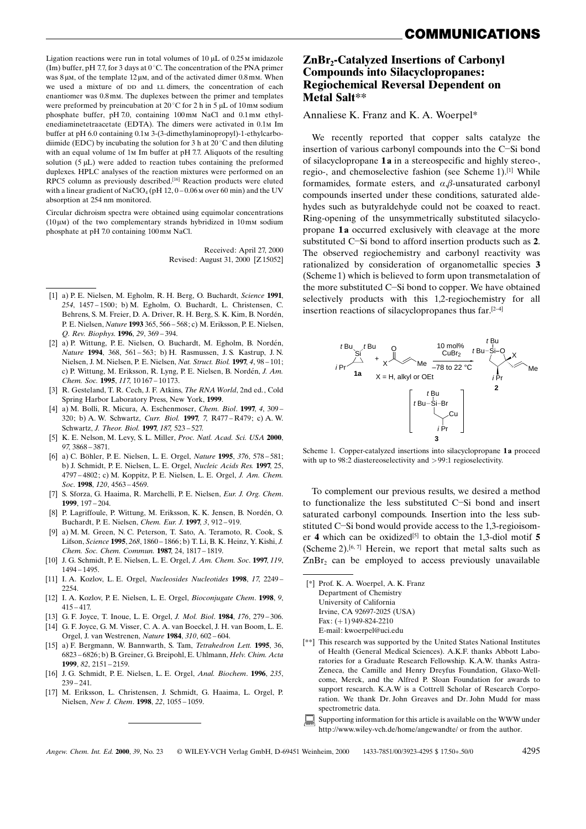Ligation reactions were run in total volumes of  $10 \mu$ L of 0.25 M imidazole (Im) buffer, pH 7.7, for 3 days at  $0^{\circ}$ C. The concentration of the PNA primer was  $8\,\mu$ M, of the template  $12\,\mu$ M, and of the activated dimer 0.8mM. When we used a mixture of pp and LL dimers, the concentration of each enantiomer was 0.8mm. The duplexes between the primer and templates were preformed by preincubation at 20 $\degree$ C for 2 h in 5 uL of 10 mm sodium phosphate buffer, pH 7.0, containing 100mm NaCl and 0.1mm ethylenediaminetetraacetate (EDTA). The dimers were activated in 0.1M Im buffer at pH 6.0 containing 0.1 M 3-(3-dimethylaminopropyl)-1-ethylcarbodiimide (EDC) by incubating the solution for 3 h at 20°C and then diluting with an equal volume of 1<sub>M</sub> Im buffer at pH 7.7. Aliquots of the resulting solution  $(5 \mu L)$  were added to reaction tubes containing the preformed duplexes. HPLC analyses of the reaction mixtures were performed on an RPC5 column as previously described.<sup>[16]</sup> Reaction products were eluted with a linear gradient of NaClO<sub>4</sub> (pH 12,  $0-0.06$  M over 60 min) and the UV absorption at 254 nm monitored.

Circular dichroism spectra were obtained using equimolar concentrations  $(10 \mu)$  of the two complementary strands hybridized in 10 mm sodium phosphate at pH 7.0 containing 100mm NaCl.

> Received: April 27, 2000 Revised: August 31, 2000 [Z15052]

- [1] a) P. E. Nielsen, M. Egholm, R. H. Berg, O. Buchardt, Science 1991, 254, 1457-1500; b) M. Egholm, O. Buchardt, L. Christensen, C. Behrens, S. M. Freier, D. A. Driver, R. H. Berg, S. K. Kim, B. Nordén, P. E. Nielsen, Nature 1993 365, 566-568; c) M. Eriksson, P. E. Nielsen, Q. Rev. Biophys. 1996, 29, 369-394.
- [2] a) P. Wittung, P. E. Nielsen, O. Buchardt, M. Egholm, B. Nordén, Nature 1994, 368, 561-563; b) H. Rasmussen, J. S. Kastrup, J. N. Nielsen, J. M. Nielsen, P. E. Nielsen, Nat. Struct. Biol. 1997, 4, 98 - 101; c) P. Wittung, M. Eriksson, R. Lyng, P. E. Nielsen, B. Nordén, J. Am. Chem. Soc. 1995, 117, 10167-10173.
- [3] R. Gesteland, T. R. Cech. J. F. Atkins, *The RNA World*, 2nd ed., Cold Spring Harbor Laboratory Press, New York, 1999.
- a) M. Bolli, R. Micura, A. Eschenmoser, Chem. Biol. 1997, 4, 309- $[4]$ 320; b) A. W. Schwartz, Curr. Biol. 1997, 7, R477-R479; c) A. W. Schwartz, J. Theor. Biol. 1997, 187, 523-527.
- [5] K. E. Nelson, M. Levy, S. L. Miller, Proc. Natl. Acad. Sci. USA 2000, 97, 3868 - 3871.
- [6] a) C. Böhler, P. E. Nielsen, L. E. Orgel, Nature 1995, 376, 578-581; b) J. Schmidt, P. E. Nielsen, L. E. Orgel, Nucleic Acids Res. 1997, 25, 4797-4802; c) M. Koppitz, P. E. Nielsen, L. E. Orgel, J. Am. Chem. Soc. 1998, 120, 4563-4569
- [7] S. Sforza, G. Haaima, R. Marchelli, P. E. Nielsen, Eur. J. Org. Chem.  $1999$   $197 - 204$
- P. Lagriffoule, P. Wittung, M. Eriksson, K. K. Jensen, B. Nordén, O. Buchardt, P. E. Nielsen, Chem. Eur. J. 1997, 3, 912-919.
- [9] a) M. M. Green, N. C. Peterson, T. Sato, A. Teramoto, R. Cook, S. Lifson, Science 1995, 268, 1860 - 1866; b) T. Li, B. K. Heinz, Y. Kishi, J. Chem. Soc. Chem. Commun. 1987, 24, 1817-1819.
- [10] J. G. Schmidt, P. E. Nielsen, L. E. Orgel, J. Am. Chem. Soc. 1997, 119,  $1494 - 1495$ .
- [11] I. A. Kozlov, L. E. Orgel, Nucleosides Nucleotides 1998, 17, 2249-2254.
- [12] I. A. Kozlov, P. E. Nielsen, L. E. Orgel, Bioconjugate Chem. 1998, 9,  $415 - 417$ .
- [13] G. F. Joyce, T. Inque, L. E. Orgel, J. *Mol. Biol.* 1984, 176, 279–306.
- [14] G. F. Joyce, G. M. Visser, C. A. A. van Boeckel, J. H. van Boom, L. E. Orgel, J. van Westrenen, Nature 1984, 310, 602-604.
- [15] a) F. Bergmann, W. Bannwarth, S. Tam, Tetrahedron Lett. 1995, 36, 6823 – 6826; b) B. Greiner, G. Breipohl, E. Uhlmann, Helv. Chim. Acta 1999. 82, 2151-2159.
- [16] J. G. Schmidt, P. E. Nielsen, L. E. Orgel, Anal. Biochem. 1996, 235,  $239 - 241$ .
- [17] M. Eriksson, L. Christensen, J. Schmidt, G. Haaima, L. Orgel, P. Nielsen, New J. Chem. 1998, 22, 1055-1059.

**ZnBr<sub>2</sub>-Catalyzed Insertions of Carbonyl Compounds into Silacyclopropanes: Regiochemical Reversal Dependent on** Metal Salt\*\*

#### Annaliese K. Franz and K. A. Woerpel\*

We recently reported that copper salts catalyze the insertion of various carbonyl compounds into the C-Si bond of silacyclopropane 1a in a stereospecific and highly stereo-, regio-, and chemoselective fashion (see Scheme 1).<sup>[1]</sup> While formamides, formate esters, and  $\alpha$ , $\beta$ -unsaturated carbonyl compounds inserted under these conditions, saturated aldehydes such as butyraldehyde could not be coaxed to react. Ring-opening of the unsymmetrically substituted silacyclopropane 1a occurred exclusively with cleavage at the more substituted C-Si bond to afford insertion products such as 2. The observed regiochemistry and carbonyl reactivity was rationalized by consideration of organometallic species 3 (Scheme 1) which is believed to form upon transmetalation of the more substituted C-Si bond to copper. We have obtained selectively products with this 1,2-regiochemistry for all insertion reactions of silacyclopropanes thus far.<sup>[2-4]</sup>



Scheme 1. Copper-catalyzed insertions into silacyclopropane 1a proceed with up to 98:2 diastereoselectivity and  $>$  99:1 regioselectivity.

To complement our previous results, we desired a method to functionalize the less substituted C-Si bond and insert saturated carbonyl compounds. Insertion into the less substituted C-Si bond would provide access to the 1,3-regioisomer 4 which can be oxidized<sup>[5]</sup> to obtain the 1,3-diol motif 5 (Scheme 2).<sup>[6, 7]</sup> Herein, we report that metal salts such as ZnBr<sub>2</sub> can be employed to access previously unavailable

[\*] Prof. K. A. Woerpel, A. K. Franz Department of Chemistry University of California Irvine, CA 92697-2025 (USA) Fax:  $(+1)$  949-824-2210 E-mail: kwoerpel@uci.edu

- [\*\*] This research was supported by the United States National Institutes of Health (General Medical Sciences). A.K.F. thanks Abbott Laboratories for a Graduate Research Fellowship, K.A.W. thanks Astra-Zeneca, the Camille and Henry Dreyfus Foundation, Glaxo-Wellcome, Merck, and the Alfred P. Sloan Foundation for awards to support research. K.A.W is a Cottrell Scholar of Research Corporation. We thank Dr. John Greaves and Dr. John Mudd for mass spectrometric data.
- Supporting information for this article is available on the WWW under http://www.wiley-vch.de/home/angewandte/ or from the author.

1433-7851/00/3923-4295 \$ 17.50+.50/0

© WILEY-VCH Verlag GmbH, D-69451 Weinheim, 2000 Angew Chem Int Ed  $2000$  39 No 23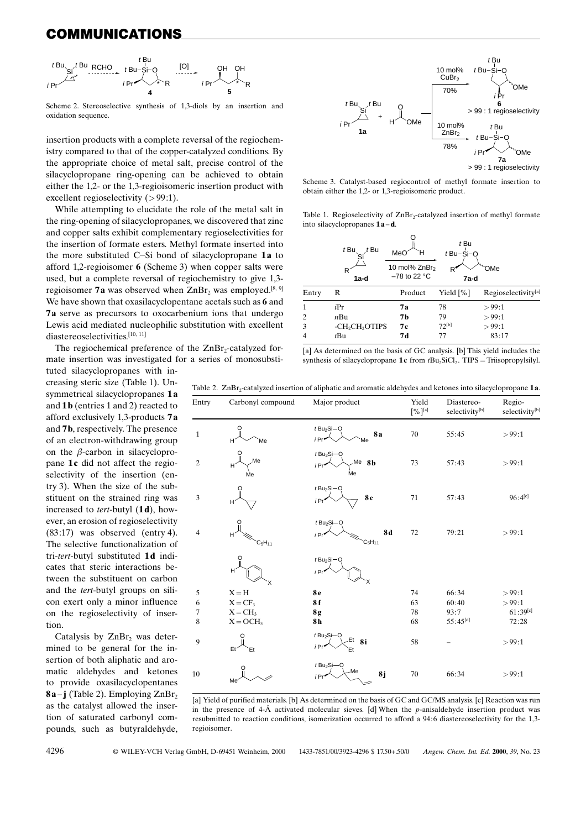# COMMUNICATIONS



Scheme 2. Stereoselective synthesis of 1.3-diols by an insertion and oxidation sequence.

insertion products with a complete reversal of the regiochemistry compared to that of the copper-catalyzed conditions. By the appropriate choice of metal salt, precise control of the silacyclopropane ring-opening can be achieved to obtain either the 1,2- or the 1,3-regioisomeric insertion product with excellent regioselectivity  $(>99:1)$ .

While attempting to elucidate the role of the metal salt in the ring-opening of silacyclopropanes, we discovered that zinc and copper salts exhibit complementary regioselectivities for the insertion of formate esters. Methyl formate inserted into the more substituted C-Si bond of silacyclopropane 1a to afford 1,2-regioisomer  $6$  (Scheme 3) when copper salts were used, but a complete reversal of regiochemistry to give 1,3regioisomer 7a was observed when  $ZnBr$ , was employed.<sup>[8, 9]</sup> We have shown that oxasilacyclopentane acetals such as 6 and 7a serve as precursors to oxocarbenium ions that undergo Lewis acid mediated nucleophilic substitution with excellent diastereoselectivities.[10, 11]

The regiochemical preference of the ZnBr<sub>2</sub>-catalyzed formate insertion was investigated for a series of monosubsti-

tuted silacyclopropanes with increasing steric size (Table 1). Unsymmetrical silacyclopropanes 1a and  $1b$  (entries 1 and 2) reacted to afford exclusively 1,3-products 7a and **7b**, respectively. The presence of an electron-withdrawing group on the  $\beta$ -carbon in silacyclopropane 1c did not affect the regioselectivity of the insertion (entry 3). When the size of the substituent on the strained ring was increased to *tert*-butyl (1d), however, an erosion of regioselectivity  $(83:17)$  was observed (entry 4). The selective functionalization of tri-tert-butyl substituted 1d indicates that steric interactions between the substituent on carbon and the *tert*-butyl groups on silicon exert only a minor influence on the regioselectivity of insertion

Catalysis by  $ZnBr<sub>2</sub>$  was determined to be general for the insertion of both aliphatic and aromatic aldehydes and ketones to provide oxasilacyclopentanes  $8a - j$  (Table 2). Employing  $ZnBr_2$ as the catalyst allowed the insertion of saturated carbonyl compounds, such as butyraldehyde,



Scheme 3. Catalyst-based regiocontrol of methyl formate insertion to obtain either the 1.2- or 1.3-regioisomeric product.

Table 1. Regioselectivity of ZnBr<sub>2</sub>-catalyzed insertion of methyl formate into silacyclopropanes 1a-d.

|      | $t$ Bu,<br>t Bu                        | MeO<br>н<br>10 mol% ZnBr <sub>2</sub> | t Bu<br>$t$ Bu $-$ Si $-$ O | <b>OMe</b>          |
|------|----------------------------------------|---------------------------------------|-----------------------------|---------------------|
|      | 1a-d                                   | $-78$ to 22 °C                        | 7a-d                        |                     |
| ntry | R                                      | Product                               | Yield $[\%]$                | Regioselectivity[a] |
|      | iPr                                    | 7а                                    | 78                          | >99:1               |
|      | nBu                                    | 7b                                    | 79                          | >99:1               |
|      | -CH <sub>2</sub> CH <sub>2</sub> OTIPS | 7с                                    | $72^{[b]}$                  | >99:1               |
|      | $t$ Bu                                 | 7 d                                   | 77                          | 83:17               |

[a] As determined on the basis of GC analysis. [b] This yield includes the synthesis of silacyclopropane 1c from  $tBu_2SiCl_2$ . TIPS = Triisopropylsilyl.

|  |  |  | Table 2. ZnBr <sub>2</sub> -catalyzed insertion of aliphatic and aromatic aldehydes and ketones into silacyclopropane <b>1a</b> |  |  |
|--|--|--|---------------------------------------------------------------------------------------------------------------------------------|--|--|
|--|--|--|---------------------------------------------------------------------------------------------------------------------------------|--|--|

 $E_1$ 

 $\frac{1}{1}$ 

 $\overline{c}$ 

 $\overline{\mathbf{3}}$ 

 $\Delta$ 

| Entry          | Carbonyl compound     | Major product                                                | Yield<br>$[\%]^{[a]}$ | Diastereo-<br>selectivity[b] | Regio-<br>selectivity <sup>[b</sup> |
|----------------|-----------------------|--------------------------------------------------------------|-----------------------|------------------------------|-------------------------------------|
| $\mathbf{1}$   | H<br>Me               | $t$ Bu <sub>2</sub> Si-O<br><b>8a</b><br>i Pr<br>Me          | 70                    | 55:45                        | > 99:1                              |
| $\overline{2}$ | Me<br>H<br>Me         | $t$ Bu <sub>2</sub> Si-O<br>Me 8b<br>i Pr<br>Me              | 73                    | 57:43                        | >99:1                               |
| 3              | Н                     | $t$ Bu <sub>2</sub> Si-O<br>8c<br>i <sub>Pr</sub>            | 71                    | 57:43                        | $96:4^{[c]}$                        |
| $\overline{4}$ | H<br>$C_5H_{11}$      | $t$ Bu <sub>2</sub> Si-O<br><b>8d</b><br>i Pr<br>$C_5H_{11}$ | 72                    | 79:21                        | >99:1                               |
|                | H                     | $t$ Bu <sub>2</sub> Si-O<br>i Pr'                            |                       |                              |                                     |
| 5              | $X = H$               | 8 <sub>e</sub>                                               | 74                    | 66:34                        | >99:1                               |
| 6              | $X = CF_3$            | 8f                                                           | 63                    | 60:40                        | >99:1                               |
| 7              | $X = CH_3$            | 8g                                                           | 78                    | 93:7                         | 61:39[c]                            |
| 8              | $X = OCH3$            | 8h                                                           | 68                    | $55:45^{[d]}$                | 72:28                               |
| 9              | Et <sup>®</sup><br>Et | $t$ Bu <sub>2</sub> Si-O<br>$E$ t 8i<br>i Pr*<br>Et          | 58                    |                              | >99:1                               |
| 10             | Me                    | $t$ Bu <sub>2</sub> Si-O<br>-Me<br>8j<br>i Pr*               | 70                    | 66:34                        | >99:1                               |

[a] Yield of purified materials. [b] As determined on the basis of GC and GC/MS analysis. [c] Reaction was run in the presence of 4- $\AA$  activated molecular sieves. [d] When the p-anisaldehyde insertion product was resubmitted to reaction conditions, isomerization occurred to afford a 94:6 diastereoselectivity for the 1,3regioisomer.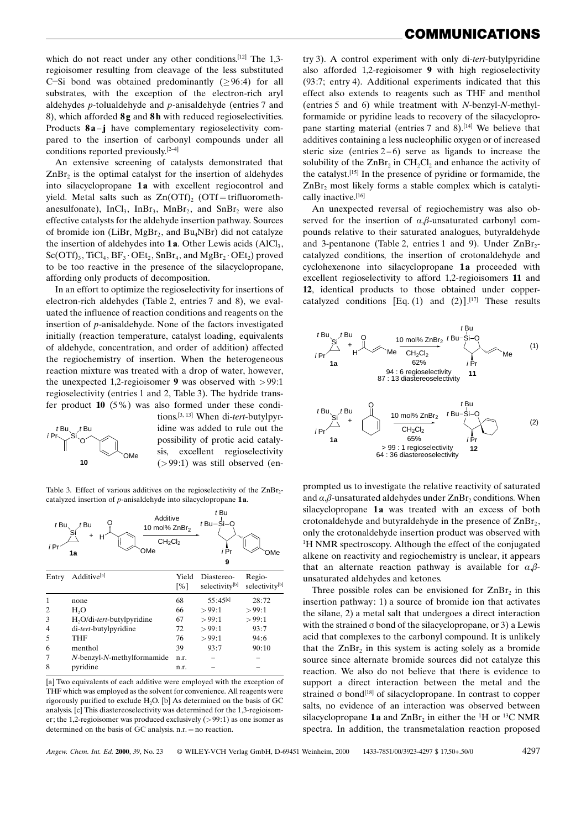which do not react under any other conditions.<sup>[12]</sup> The 1,3regioisomer resulting from cleavage of the less substituted C-Si bond was obtained predominantly ( $\geq$ 96:4) for all substrates, with the exception of the electron-rich aryl aldehydes *p*-tolualdehyde and *p*-anisaldehyde (entries  $7$  and 8), which afforded  $8g$  and  $8h$  with reduced regioselectivities. Products  $8a - j$  have complementary regioselectivity compared to the insertion of carbonyl compounds under all conditions reported previously.<sup>[2-4]</sup>

An extensive screening of catalysts demonstrated that  $ZnBr<sub>2</sub>$  is the optimal catalyst for the insertion of aldehydes into silacyclopropane 1a with excellent regiocontrol and yield. Metal salts such as  $Zn(OTf)$ <sub>2</sub> (OTf = trifluoromethanesulfonate),  $InCl<sub>3</sub>$ ,  $InBr<sub>3</sub>$ ,  $MnBr<sub>2</sub>$ , and  $SnBr<sub>2</sub>$  were also effective catalysts for the aldehyde insertion pathway. Sources of bromide ion (LiBr, MgBr<sub>2</sub>, and Bu<sub>4</sub>NBr) did not catalyze the insertion of aldehydes into  $1a$ . Other Lewis acids  $(AlCl<sub>3</sub>,$  $Sc(OTf)_{3}$ , TiCl<sub>4</sub>, BF<sub>3</sub>  $\cdot$  OEt<sub>2</sub>, SnBr<sub>4</sub>, and MgBr<sub>2</sub> $\cdot$  OEt<sub>2</sub>) proved to be too reactive in the presence of the silacyclopropane, affording only products of decomposition.

In an effort to optimize the regioselectivity for insertions of electron-rich aldehydes (Table 2, entries 7 and 8), we evaluated the influence of reaction conditions and reagents on the insertion of p-anisaldehyde. None of the factors investigated initially (reaction temperature, catalyst loading, equivalents of aldehyde, concentration, and order of addition) affected the regiochemistry of insertion. When the heterogeneous reaction mixture was treated with a drop of water, however, the unexpected 1,2-regioisomer 9 was observed with  $>99:1$ regioselectivity (entries 1 and 2, Table 3). The hydride transfer product  $10$  (5%) was also formed under these condi-



tions.<sup>[3, 13]</sup> When di-tert-butylpyridine was added to rule out the possibility of protic acid catalysis, excellent regioselectivity  $(>99:1)$  was still observed (en-

Table 3. Effect of various additives on the regioselectivity of the ZnBrcatalyzed insertion of  $p$ -anisaldehyde into silacyclopropane 1a.

| $t$ Bu<br>i Pr | Additive<br>$t$ Bu<br>10 mol% ZnBr <sub>2</sub><br>н<br>CH <sub>2</sub> Cl <sub>2</sub><br>OMe<br>1a |                            | t Bu<br>$t$ Bu $-Si-O$<br><i>i</i> Pr<br>9 | OMe                      |
|----------------|------------------------------------------------------------------------------------------------------|----------------------------|--------------------------------------------|--------------------------|
| Entry          | Additive <sup>[a]</sup>                                                                              | Yield<br>$\lceil\% \rceil$ | Diastereo-<br>selectivity[b]               | Regio-<br>selectivity[b] |
| 1              | none                                                                                                 | 68                         | $55:45$ [c]                                | 28:72                    |
| 2              | H <sub>2</sub> O                                                                                     | 66                         | >99:1                                      | >99:1                    |
| 3              | H <sub>2</sub> O/di-tert-butylpyridine                                                               | 67                         | >99:1                                      | >99:1                    |
| 4              | di-tert-butylpyridine                                                                                | 72                         | >99:1                                      | 93:7                     |
| 5              | THF                                                                                                  | 76                         | >99:1                                      | 94:6                     |
| 6              | menthol                                                                                              | 39                         | 93:7                                       | 90:10                    |
| 7              | $N$ -benzyl- $N$ -methylformamide                                                                    | n.r.                       |                                            |                          |
| 8              | pyridine                                                                                             | n.r.                       |                                            |                          |

[a] Two equivalents of each additive were employed with the exception of THF which was employed as the solvent for convenience. All reagents were rigorously purified to exclude  $H_2O$ . [b] As determined on the basis of GC analysis. [c] This diastereoselectivity was determined for the 1,3-regioisomer; the 1,2-regioisomer was produced exclusively  $(>99:1)$  as one isomer as determined on the basis of GC analysis,  $n.r. = no$  reaction.

try 3). A control experiment with only di-tert-butylpyridine also afforded 1,2-regioisomer 9 with high regioselectivity (93:7; entry 4). Additional experiments indicated that this effect also extends to reagents such as THF and menthol (entries 5 and 6) while treatment with  $N$ -benzyl- $N$ -methylformamide or pyridine leads to recovery of the silacyclopropane starting material (entries 7 and 8).<sup>[14]</sup> We believe that additives containing a less nucleophilic oxygen or of increased steric size (entries  $2-6$ ) serve as ligands to increase the solubility of the  $ZnBr<sub>2</sub>$  in CH<sub>2</sub>Cl<sub>2</sub> and enhance the activity of the catalyst.<sup>[15]</sup> In the presence of pyridine or formamide, the  $ZnBr<sub>2</sub>$  most likely forms a stable complex which is catalytically inactive.[16]

An unexpected reversal of regiochemistry was also observed for the insertion of  $\alpha$ , $\beta$ -unsaturated carbonyl compounds relative to their saturated analogues, butyraldehyde and 3-pentanone (Table 2, entries 1 and 9). Under ZnBr<sub>2</sub>catalyzed conditions, the insertion of crotonaldehyde and cyclohexenone into silacyclopropane 1a proceeded with excellent regioselectivity to afford 1,2-regioisomers 11 and 12, identical products to those obtained under coppercatalyzed conditions [Eq. (1) and (2)].<sup>[17]</sup> These results



prompted us to investigate the relative reactivity of saturated and  $\alpha$ ,  $\beta$ -unsaturated aldehydes under ZnBr<sub>2</sub> conditions. When silacyclopropane 1a was treated with an excess of both crotonaldehyde and butyraldehyde in the presence of ZnBr<sub>2</sub>, only the crotonaldehyde insertion product was observed with <sup>1</sup>H NMR spectroscopy. Although the effect of the conjugated alkene on reactivity and regiochemistry is unclear, it appears that an alternate reaction pathway is available for  $\alpha$ , $\beta$ unsaturated aldehydes and ketones.

Three possible roles can be envisioned for ZnBr<sub>2</sub> in this insertion pathway: 1) a source of bromide ion that activates the silane, 2) a metal salt that undergoes a direct interaction with the strained  $\sigma$  bond of the silacyclopropane, or 3) a Lewis acid that complexes to the carbonyl compound. It is unlikely that the  $ZnBr<sub>2</sub>$  in this system is acting solely as a bromide source since alternate bromide sources did not catalyze this reaction. We also do not believe that there is evidence to support a direct interaction between the metal and the strained o bond<sup>[18]</sup> of silacyclopropane. In contrast to copper salts, no evidence of an interaction was observed between silacyclopropane 1a and ZnBr, in either the <sup>1</sup>H or <sup>13</sup>C NMR spectra. In addition, the transmetalation reaction proposed

Angew. Chem. Int. Ed. 2000, 39, No. 23

© WILEY-VCH Verlag GmbH, D-69451 Weinheim, 2000 1433-7851/00/3923-4297 \$ 17.50+.50/0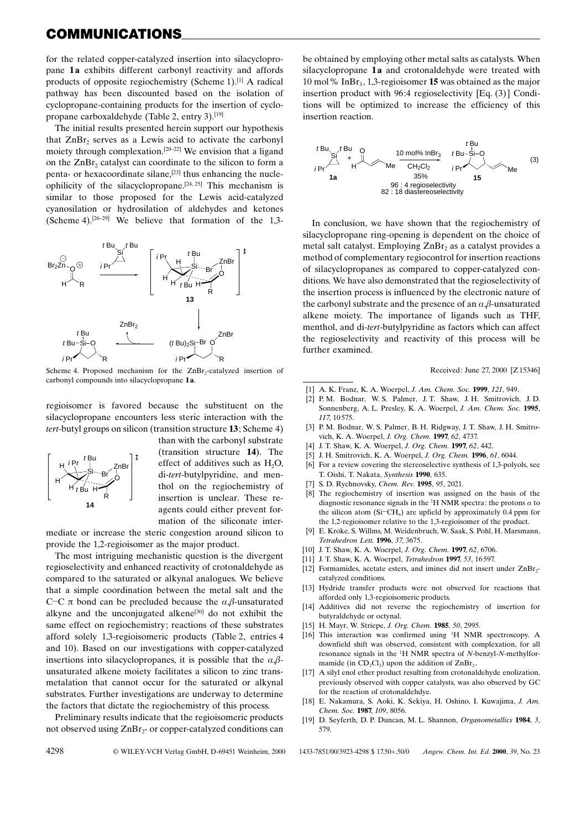## **COMMUNICATIONS**

for the related copper-catalyzed insertion into silacyclopropane 1a exhibits different carbonyl reactivity and affords products of opposite regiochemistry (Scheme 1).<sup>[1]</sup> A radical pathway has been discounted based on the isolation of cyclopropane-containing products for the insertion of cyclopropane carboxaldehyde (Table 2, entry 3).<sup>[19]</sup>

The initial results presented herein support our hypothesis that ZnBr<sub>2</sub> serves as a Lewis acid to activate the carbonyl moiety through complexation.<sup>[20-22]</sup> We envision that a ligand on the  $ZnBr<sub>2</sub>$  catalyst can coordinate to the silicon to form a penta- or hexacoordinate silane,<sup>[23]</sup> thus enhancing the nucleophilicity of the silacyclopropane.<sup>[24, 25]</sup> This mechanism is similar to those proposed for the Lewis acid-catalyzed cyanosilation or hydrosilation of aldehydes and ketones (Scheme 4).<sup>[26-29]</sup> We believe that formation of the 1,3-



Scheme 4. Proposed mechanism for the  $ZnBr_2$ -catalyzed insertion of carbonyl compounds into silacyclopropane 1a.

regioisomer is favored because the substituent on the silacyclopropane encounters less steric interaction with the *tert*-butyl groups on silicon (transition structure 13; Scheme 4)



than with the carbonyl substrate (transition structure 14). The effect of additives such as  $H_2O$ , di-tert-butylpyridine, and menthol on the regiochemistry of insertion is unclear. These reagents could either prevent formation of the siliconate inter-

mediate or increase the steric congestion around silicon to provide the 1,2-regioisomer as the major product.

The most intriguing mechanistic question is the divergent regioselectivity and enhanced reactivity of crotonaldehyde as compared to the saturated or alkynal analogues. We believe that a simple coordination between the metal salt and the C-C  $\pi$  bond can be precluded because the  $\alpha$ ,  $\beta$ -unsaturated alkyne and the unconjugated alkene<sup>[30]</sup> do not exhibit the same effect on regiochemistry; reactions of these substrates afford solely 1,3-regioisomeric products (Table 2, entries 4 and 10). Based on our investigations with copper-catalyzed insertions into silacyclopropanes, it is possible that the  $\alpha$ , $\beta$ unsaturated alkene moiety facilitates a silicon to zinc transmetalation that cannot occur for the saturated or alkynal substrates. Further investigations are underway to determine the factors that dictate the regiochemistry of this process.

Preliminary results indicate that the regioisomeric products not observed using ZnBr<sub>2</sub>- or copper-catalyzed conditions can

4298

© WILEY-VCH Verlag GmbH, D-69451 Weinheim, 2000

be obtained by employing other metal salts as catalysts. When silacyclopropane 1a and crotonaldehyde were treated with 10 mol% InBr<sub>3</sub>, 1,3-regioisomer **15** was obtained as the major insertion product with 96:4 regioselectivity [Eq. (3)] Conditions will be optimized to increase the efficiency of this insertion reaction.



In conclusion, we have shown that the regiochemistry of silacyclopropane ring-opening is dependent on the choice of metal salt catalyst. Employing ZnBr, as a catalyst provides a method of complementary regiocontrol for insertion reactions of silacyclopropanes as compared to copper-catalyzed conditions. We have also demonstrated that the regioselectivity of the insertion process is influenced by the electronic nature of the carbonyl substrate and the presence of an  $\alpha$ , $\beta$ -unsaturated alkene moiety. The importance of ligands such as THF, menthol, and di-tert-butylpyridine as factors which can affect the regioselectivity and reactivity of this process will be further examined.

Received: June 27, 2000 [Z15346]

- [1] A. K. Franz, K. A. Woerpel, J. Am. Chem. Soc. 1999, 121, 949.
- [2] P. M. Bodnar, W. S. Palmer, J. T. Shaw, J. H. Smitrovich, J. D. Sonnenberg, A. L. Presley, K. A. Woerpel, J. Am. Chem. Soc. 1995, 117 10 575
- [3] P. M. Bodnar, W. S. Palmer, B. H. Ridgway, J. T. Shaw, J. H. Smitrovich, K. A. Woerpel, J. Org. Chem. 1997, 62, 4737.
- [4] J. T. Shaw, K. A. Woerpel, J. Org. Chem. 1997, 62, 442.
- [5] J. H. Smitrovich, K. A. Woerpel, J. Org. Chem. 1996, 61, 6044.
- For a review covering the stereoselective synthesis of 1,3-polyols, see [6] T. Oishi, T. Nakata, Synthesis 1990, 635.
- [7] S. D. Rychnovsky, Chem. Rev. 1995, 95, 2021.
- [8] The regiochemistry of insertion was assigned on the basis of the diagnostic resonance signals in the <sup>1</sup>H NMR spectra: the protons  $\alpha$  to the silicon atom (Si-CH<sub>n</sub>) are upfield by approximately 0.4 ppm for the 1,2-regioisomer relative to the 1,3-regioisomer of the product.
- $[9]$ E. Kroke, S. Willms, M. Weidenbruch, W. Saak, S. Pohl, H. Marsmann, Tetrahedron Lett. 1996, 37, 3675.
- [10] J. T. Shaw, K. A. Woerpel, J. Org. Chem. 1997, 62, 6706.
- [11] J. T. Shaw, K. A. Woerpel, *Tetrahedron* 1997, 53, 16597.
- [12] Formamides, acetate esters, and imines did not insert under ZnBr<sub>2</sub>catalyzed conditions.
- [13] Hydride transfer products were not observed for reactions that afforded only 1,3-regioisomeric products.
- [14] Additives did not reverse the regiochemistry of insertion for butyraldehyde or octynal.
- [15] H. Mayr, W. Striepe, J. Org. Chem. 1985, 50, 2995.
- [16] This interaction was confirmed using <sup>1</sup>H NMR spectroscopy. A downfield shift was observed, consistent with complexation, for all resonance signals in the <sup>1</sup>H NMR spectra of N-benzyl-N-methylformamide (in  $CD_2Cl_2$ ) upon the addition of  $ZnBr_2$ .
- [17] A silyl enol ether product resulting from crotonaldehyde enolization, previously observed with copper catalysts, was also observed by GC for the reaction of crotonaldehdve.
- [18] E. Nakamura, S. Aoki, K. Sekiya, H. Oshino, I. Kuwajima, J. Am. Chem. Soc. 1987, 109, 8056.
- [19] D. Seyferth, D. P. Duncan, M. L. Shannon, Organometallics 1984, 3, 579.